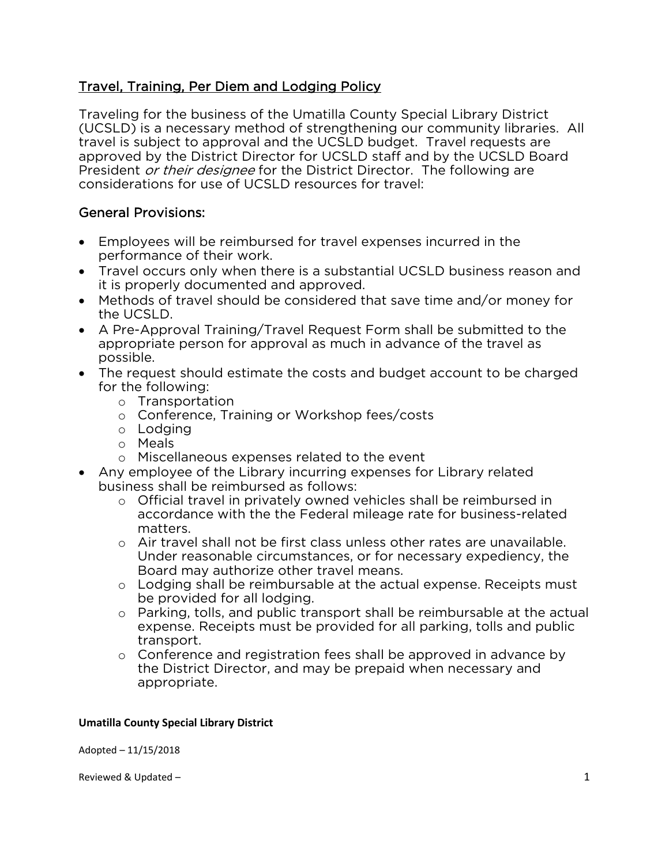# <u>Travel, Training, Per Diem and Lodging Policy</u>

Traveling for the business of the Umatilla County Special Library District travel is subject to approval and the UCSLD budget. Travel requests are approved by the District Director for UCSLD staff and by the UCSLD Board President *or their designee* for the District Director. The following are<br>considerations for use of UCSLD resources for travel: considerations for use of UCSLD resources for travel:

#### **General Provisions:** General Provisions:

- Employees will be reimbursed for travel expenses incurred in the
- Travel occurs only when there is a substantial UCSLD business reason and it is properly documented and approved.
- Methods of travel should be considered that save time and/or money for<br>the UCSI D.
- A Pre-Approval Training/Travel Request Form shall be submitted to the appropriate person for approval as much in advance of the travel as appropriate person for approval as much in advance of the travel as much in advance of the travel as  $\alpha$
- The request should estimate the costs and budget account to be charged for the following:
	- o Transportation<br>
	o Conference Tr
		- <sup>o</sup> Conference, Training or Workshop fees/costs
		- <sup>o</sup> Lodging
		- <sup>o</sup> Meals
		- <sup>o</sup> Miscellaneous expenses related to the event
- Any employee of the Library incurring expenses for Library related business shall be reimbursed as follows:
	- o Official travel in privately owned vehicles shall be reimbursed in<br>accordance with the the Federal mileage rate for business-relate accordance with the the the Federal matters.
		- o Air travel shall not be first class unless other rates are unavailable.<br>Under reasonable circumstances, or for necessary expediency, the Under reasonable circumstances, or for necessary expediency, the
		- o Lodging shall be reimbursable at the actual expense. Receipts must<br>be provided for all lodging.
		- o Parking, tolls, and public transport shall be reimbursable at the actual<br>expense. Receipts must be provided for all parking, tolls and public expense. Receipts must be provided for all parking, tolls and public
		- o Conference and registration fees shall be approved in advance by<br>the District Director, and may be prepaid when necessary and the District Director, and may be prepaid when necessary and<br>appropriate. appropriate.

## **Umatilla County Special Library District**

Adopted – 11/15/2018

Reviewed & Updated – 1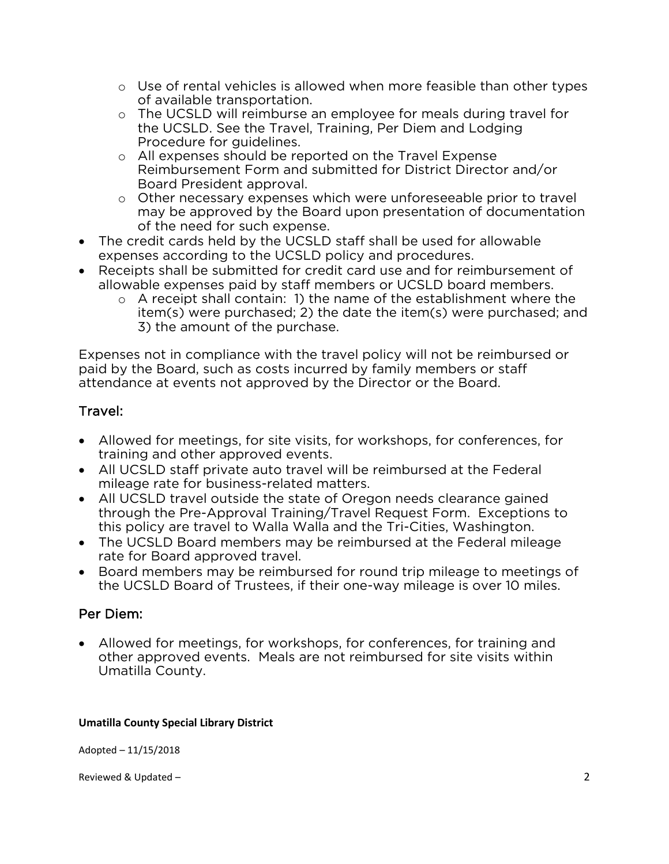- $\circ$  Use of rental vehicles is allowed when more feasible than other types of available transportation.
- o The UCSLD will reimburse an employee for meals during travel for<br>the UCSLD. See the Travel. Training. Per Diem and Lodging the UCSLD. See the Travel, Training, Per Diem and Lodging
- o All expenses should be reported on the Travel Expense<br>Reimbursement Form and submitted for District Directo Board President approval.
- o Other necessary expenses which were unforeseeable prior to travel<br>may be approved by the Board upon presentation of documentation may be approved by the Board upon presentation of documentation<br>of the need for such expense.
- The credit cards held by the UCSLD staff shall be used for allowable<br>expenses according to the UCSLD policy and procedures.
- Receipts shall be submitted for credit card use and for reimbursement of allowable expenses paid by staff members or UCSLD board members.
	- $\circ$  A receipt shall contain: 1) the name of the establishment where the item(s) were purchased: 2) the date the item(s) were purchased: an item(s) were purchased; 2) the date the item(s) were purchased; and 3) the amount of the purchase. 3) the amount of the purchase.

Expenses not in compliance with the travel policy will not be reimbursed or paid by the Board, such as costs incurred by family members or staff paid by the Board, such a such a proceed by the Director or the Board. attendance at events not approved by the Director or the Board.

#### Travel: Travel:

- Allowed for meetings, for site visits, for workshops, for conferences, for training and other approved events.
- All UCSLD staff private auto travel will be reimbursed at the Federal mileage rate for business-related matters.
- All UCSLD travel outside the state of Oregon needs clearance gained<br>through the Pre-Approval Training/Travel Request Form. Exceptions through the Pre-Approval Training/Travel Request Form. Exceptions to this policy are travel to Walla Walla and the Tri-Cities, Washington.
- The UCSLD Board members may be reimbursed at the Federal mileage rate for Board annoved travel.
- Board members may be reimbursed for round trip mileage to meetings of the UCSI D Board of Trustees, if their one-way mileage is over 10 miles. the UCSLD Board of Trustees, if their one-way mileage is over 10 miles.

#### Per Diem: Per Diem:

• Allowed for meetings, for workshops, for conferences, for training and other approved events. Meals are not reimbursed for site visits within Umatilla County. Umatilla County.

## **Umatilla County Special Library District**

Adopted – 11/15/2018

Reviewed & Updated – 2